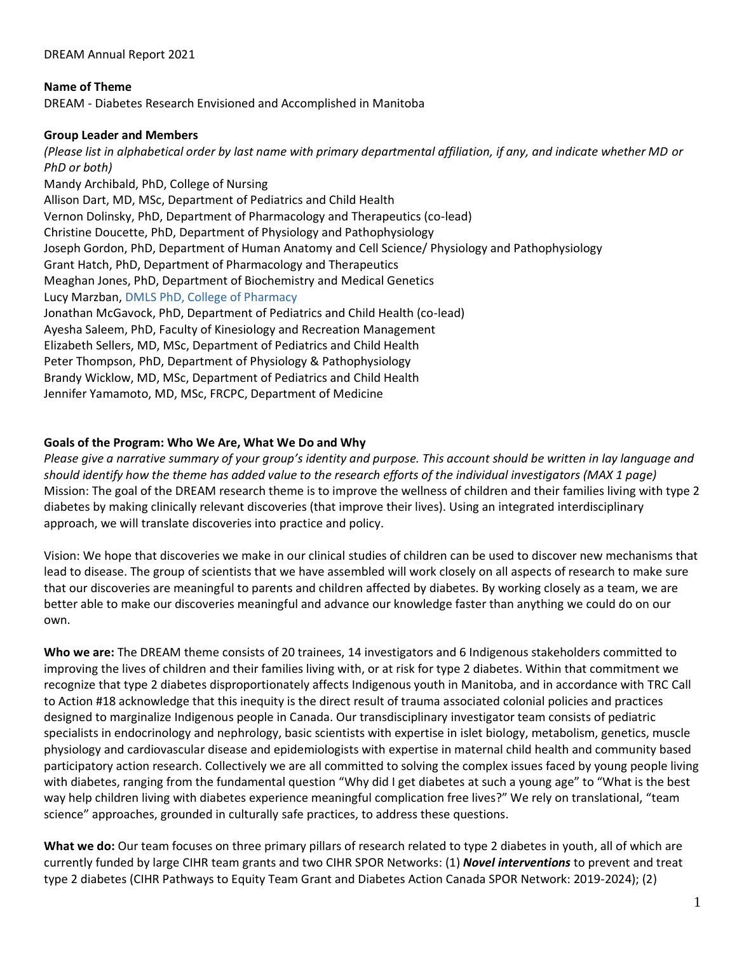DREAM Annual Report 2021

### **Name of Theme**

DREAM - Diabetes Research Envisioned and Accomplished in Manitoba

### **Group Leader and Members**

*(Please list in alphabetical order by last name with primary departmental affiliation, if any, and indicate whether MD or PhD or both)*

Mandy Archibald, PhD, College of Nursing Allison Dart, MD, MSc, Department of Pediatrics and Child Health Vernon Dolinsky, PhD, Department of Pharmacology and Therapeutics (co-lead) Christine Doucette, PhD, Department of Physiology and Pathophysiology Joseph Gordon, PhD, Department of Human Anatomy and Cell Science/ Physiology and Pathophysiology Grant Hatch, PhD, Department of Pharmacology and Therapeutics Meaghan Jones, PhD, Department of Biochemistry and Medical Genetics Lucy Marzban, DMLS PhD, College of Pharmacy Jonathan McGavock, PhD, Department of Pediatrics and Child Health (co-lead) Ayesha Saleem, PhD, Faculty of Kinesiology and Recreation Management Elizabeth Sellers, MD, MSc, Department of Pediatrics and Child Health Peter Thompson, PhD, Department of Physiology & Pathophysiology Brandy Wicklow, MD, MSc, Department of Pediatrics and Child Health Jennifer Yamamoto, MD, MSc, FRCPC, Department of Medicine

### **Goals of the Program: Who We Are, What We Do and Why**

*Please give a narrative summary of your group's identity and purpose. This account should be written in lay language and should identify how the theme has added value to the research efforts of the individual investigators (MAX 1 page)* Mission: The goal of the DREAM research theme is to improve the wellness of children and their families living with type 2 diabetes by making clinically relevant discoveries (that improve their lives). Using an integrated interdisciplinary approach, we will translate discoveries into practice and policy.

Vision: We hope that discoveries we make in our clinical studies of children can be used to discover new mechanisms that lead to disease. The group of scientists that we have assembled will work closely on all aspects of research to make sure that our discoveries are meaningful to parents and children affected by diabetes. By working closely as a team, we are better able to make our discoveries meaningful and advance our knowledge faster than anything we could do on our own.

**Who we are:** The DREAM theme consists of 20 trainees, 14 investigators and 6 Indigenous stakeholders committed to improving the lives of children and their families living with, or at risk for type 2 diabetes. Within that commitment we recognize that type 2 diabetes disproportionately affects Indigenous youth in Manitoba, and in accordance with TRC Call to Action #18 acknowledge that this inequity is the direct result of trauma associated colonial policies and practices designed to marginalize Indigenous people in Canada. Our transdisciplinary investigator team consists of pediatric specialists in endocrinology and nephrology, basic scientists with expertise in islet biology, metabolism, genetics, muscle physiology and cardiovascular disease and epidemiologists with expertise in maternal child health and community based participatory action research. Collectively we are all committed to solving the complex issues faced by young people living with diabetes, ranging from the fundamental question "Why did I get diabetes at such a young age" to "What is the best way help children living with diabetes experience meaningful complication free lives?" We rely on translational, "team science" approaches, grounded in culturally safe practices, to address these questions.

**What we do:** Our team focuses on three primary pillars of research related to type 2 diabetes in youth, all of which are currently funded by large CIHR team grants and two CIHR SPOR Networks: (1) *Novel interventions* to prevent and treat type 2 diabetes (CIHR Pathways to Equity Team Grant and Diabetes Action Canada SPOR Network: 2019-2024); (2)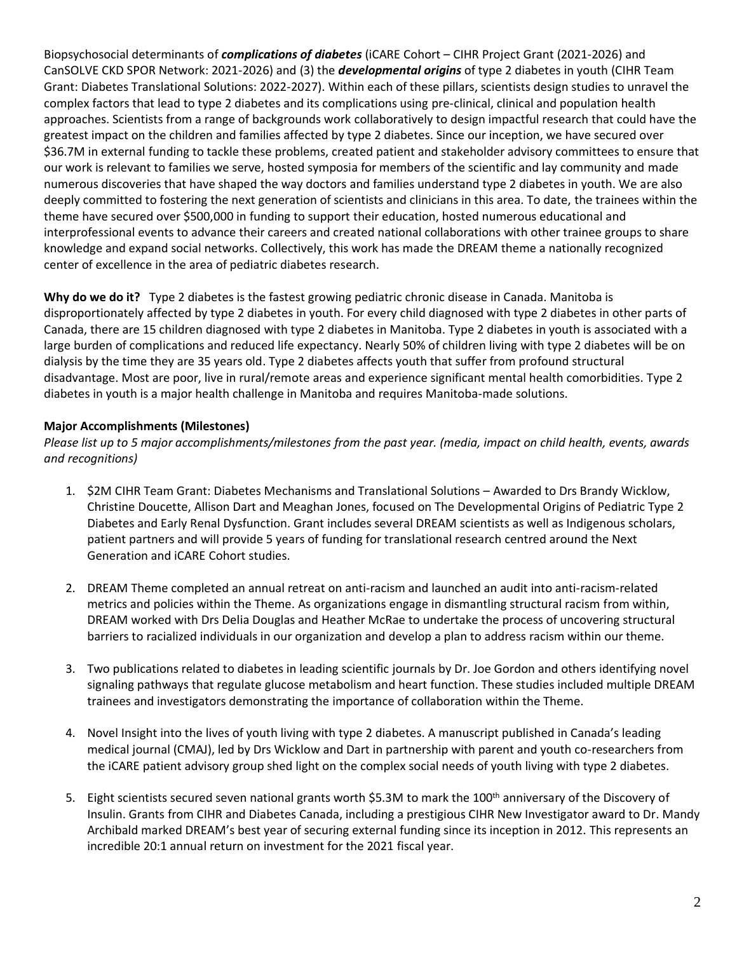Biopsychosocial determinants of *complications of diabetes* (iCARE Cohort – CIHR Project Grant (2021-2026) and CanSOLVE CKD SPOR Network: 2021-2026) and (3) the *developmental origins* of type 2 diabetes in youth (CIHR Team Grant: Diabetes Translational Solutions: 2022-2027). Within each of these pillars, scientists design studies to unravel the complex factors that lead to type 2 diabetes and its complications using pre-clinical, clinical and population health approaches. Scientists from a range of backgrounds work collaboratively to design impactful research that could have the greatest impact on the children and families affected by type 2 diabetes. Since our inception, we have secured over \$36.7M in external funding to tackle these problems, created patient and stakeholder advisory committees to ensure that our work is relevant to families we serve, hosted symposia for members of the scientific and lay community and made numerous discoveries that have shaped the way doctors and families understand type 2 diabetes in youth. We are also deeply committed to fostering the next generation of scientists and clinicians in this area. To date, the trainees within the theme have secured over \$500,000 in funding to support their education, hosted numerous educational and interprofessional events to advance their careers and created national collaborations with other trainee groups to share knowledge and expand social networks. Collectively, this work has made the DREAM theme a nationally recognized center of excellence in the area of pediatric diabetes research.

**Why do we do it?** Type 2 diabetes is the fastest growing pediatric chronic disease in Canada. Manitoba is disproportionately affected by type 2 diabetes in youth. For every child diagnosed with type 2 diabetes in other parts of Canada, there are 15 children diagnosed with type 2 diabetes in Manitoba. Type 2 diabetes in youth is associated with a large burden of complications and reduced life expectancy. Nearly 50% of children living with type 2 diabetes will be on dialysis by the time they are 35 years old. Type 2 diabetes affects youth that suffer from profound structural disadvantage. Most are poor, live in rural/remote areas and experience significant mental health comorbidities. Type 2 diabetes in youth is a major health challenge in Manitoba and requires Manitoba-made solutions.

## **Major Accomplishments (Milestones)**

*Please list up to 5 major accomplishments/milestones from the past year. (media, impact on child health, events, awards and recognitions)*

- 1. \$2M CIHR Team Grant: Diabetes Mechanisms and Translational Solutions Awarded to Drs Brandy Wicklow, Christine Doucette, Allison Dart and Meaghan Jones, focused on The Developmental Origins of Pediatric Type 2 Diabetes and Early Renal Dysfunction. Grant includes several DREAM scientists as well as Indigenous scholars, patient partners and will provide 5 years of funding for translational research centred around the Next Generation and iCARE Cohort studies.
- 2. DREAM Theme completed an annual retreat on anti-racism and launched an audit into anti-racism-related metrics and policies within the Theme. As organizations engage in dismantling structural racism from within, DREAM worked with Drs Delia Douglas and Heather McRae to undertake the process of uncovering structural barriers to racialized individuals in our organization and develop a plan to address racism within our theme.
- 3. Two publications related to diabetes in leading scientific journals by Dr. Joe Gordon and others identifying novel signaling pathways that regulate glucose metabolism and heart function. These studies included multiple DREAM trainees and investigators demonstrating the importance of collaboration within the Theme.
- 4. Novel Insight into the lives of youth living with type 2 diabetes. A manuscript published in Canada's leading medical journal (CMAJ), led by Drs Wicklow and Dart in partnership with parent and youth co-researchers from the iCARE patient advisory group shed light on the complex social needs of youth living with type 2 diabetes.
- 5. Eight scientists secured seven national grants worth \$5.3M to mark the 100<sup>th</sup> anniversary of the Discovery of Insulin. Grants from CIHR and Diabetes Canada, including a prestigious CIHR New Investigator award to Dr. Mandy Archibald marked DREAM's best year of securing external funding since its inception in 2012. This represents an incredible 20:1 annual return on investment for the 2021 fiscal year.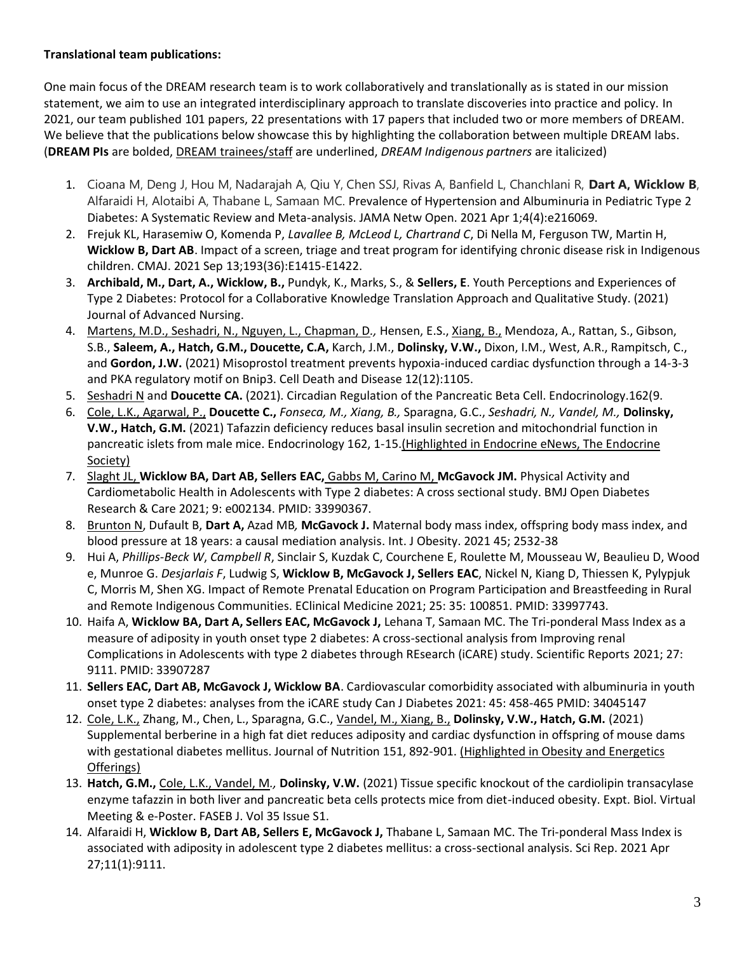## **Translational team publications:**

One main focus of the DREAM research team is to work collaboratively and translationally as is stated in our mission statement, we aim to use an integrated interdisciplinary approach to translate discoveries into practice and policy. In 2021, our team published 101 papers, 22 presentations with 17 papers that included two or more members of DREAM. We believe that the publications below showcase this by highlighting the collaboration between multiple DREAM labs. (**DREAM PIs** are bolded, DREAM trainees/staff are underlined, *DREAM Indigenous partners* are italicized)

- 1. Cioana M, Deng J, Hou M, Nadarajah A, Qiu Y, Chen SSJ, Rivas A, Banfield L, Chanchlani R, **Dart A, Wicklow B**, Alfaraidi H, Alotaibi A, Thabane L, Samaan MC. Prevalence of Hypertension and Albuminuria in Pediatric Type 2 Diabetes: A Systematic Review and Meta-analysis. JAMA Netw Open. 2021 Apr 1;4(4):e216069.
- 2. Frejuk KL, Harasemiw O, Komenda P, *Lavallee B, McLeod L, Chartrand C*, Di Nella M, Ferguson TW, Martin H, **Wicklow B, Dart AB**. Impact of a screen, triage and treat program for identifying chronic disease risk in Indigenous children. CMAJ. 2021 Sep 13;193(36):E1415-E1422.
- 3. **Archibald, M., Dart, A., Wicklow, B.,** Pundyk, K., Marks, S., & **Sellers, E**. Youth Perceptions and Experiences of Type 2 Diabetes: Protocol for a Collaborative Knowledge Translation Approach and Qualitative Study. (2021) Journal of Advanced Nursing.
- 4. Martens, M.D., Seshadri, N., Nguyen, L., Chapman, D*.,* Hensen, E.S., Xiang, B., Mendoza, A., Rattan, S., Gibson, S.B., **Saleem, A., Hatch, G.M., Doucette, C.A,** Karch, J.M., **Dolinsky, V.W.,** Dixon, I.M., West, A.R., Rampitsch, C., and **Gordon, J.W.** (2021) Misoprostol treatment prevents hypoxia-induced cardiac dysfunction through a 14-3-3 and PKA regulatory motif on Bnip3. Cell Death and Disease 12(12):1105.
- 5. Seshadri N and **Doucette CA.** (2021). Circadian Regulation of the Pancreatic Beta Cell. Endocrinology.162(9.
- 6. Cole, L.K., Agarwal, P., **Doucette C.,** *Fonseca, M., Xiang, B.,* Sparagna, G.C., *Seshadri, N., Vandel, M.,* **Dolinsky, V.W., Hatch, G.M.** (2021) Tafazzin deficiency reduces basal insulin secretion and mitochondrial function in pancreatic islets from male mice. Endocrinology 162, 1-15.(Highlighted in Endocrine eNews, The Endocrine Society)
- 7. Slaght JL, **Wicklow BA, Dart AB, Sellers EAC,** Gabbs M, Carino M, **McGavock JM.** Physical Activity and Cardiometabolic Health in Adolescents with Type 2 diabetes: A cross sectional study. BMJ Open Diabetes Research & Care 2021; 9: e002134. PMID: 33990367.
- 8. Brunton N, Dufault B, **Dart A,** Azad MB*,* **McGavock J.** Maternal body mass index, offspring body mass index, and blood pressure at 18 years: a causal mediation analysis. Int. J Obesity. 2021 45; 2532-38
- 9. Hui A, *Phillips-Beck W*, *Campbell R*, Sinclair S, Kuzdak C, Courchene E, Roulette M, Mousseau W, Beaulieu D, Wood e, Munroe G. *Desjarlais F*, Ludwig S, **Wicklow B, McGavock J, Sellers EAC**, Nickel N, Kiang D, Thiessen K, Pylypjuk C, Morris M, Shen XG. Impact of Remote Prenatal Education on Program Participation and Breastfeeding in Rural and Remote Indigenous Communities. EClinical Medicine 2021; 25: 35: 100851. PMID: 33997743.
- 10. Haifa A, **Wicklow BA, Dart A, Sellers EAC, McGavock J,** Lehana T, Samaan MC. The Tri-ponderal Mass Index as a measure of adiposity in youth onset type 2 diabetes: A cross-sectional analysis from Improving renal Complications in Adolescents with type 2 diabetes through REsearch (iCARE) study. Scientific Reports 2021; 27: 9111. PMID: 33907287
- 11. **Sellers EAC, Dart AB, McGavock J, Wicklow BA**. Cardiovascular comorbidity associated with albuminuria in youth onset type 2 diabetes: analyses from the iCARE study Can J Diabetes 2021: 45: 458-465 PMID: 34045147
- 12. Cole, L.K., Zhang, M., Chen, L., Sparagna, G.C., Vandel, M., Xiang, B., **Dolinsky, V.W., Hatch, G.M.** (2021) Supplemental berberine in a high fat diet reduces adiposity and cardiac dysfunction in offspring of mouse dams with gestational diabetes mellitus. Journal of Nutrition 151, 892-901. (Highlighted in Obesity and Energetics Offerings)
- 13. **Hatch, G.M.,** Cole, L.K., Vandel, M*.,* **Dolinsky, V.W.** (2021) Tissue specific knockout of the cardiolipin transacylase enzyme tafazzin in both liver and pancreatic beta cells protects mice from diet-induced obesity. Expt. Biol. Virtual Meeting & e-Poster. FASEB J. Vol 35 Issue S1.
- 14. Alfaraidi H, **Wicklow B, Dart AB, Sellers E, McGavock J,** Thabane L, Samaan MC. The Tri-ponderal Mass Index is associated with adiposity in adolescent type 2 diabetes mellitus: a cross-sectional analysis. Sci Rep. 2021 Apr 27;11(1):9111.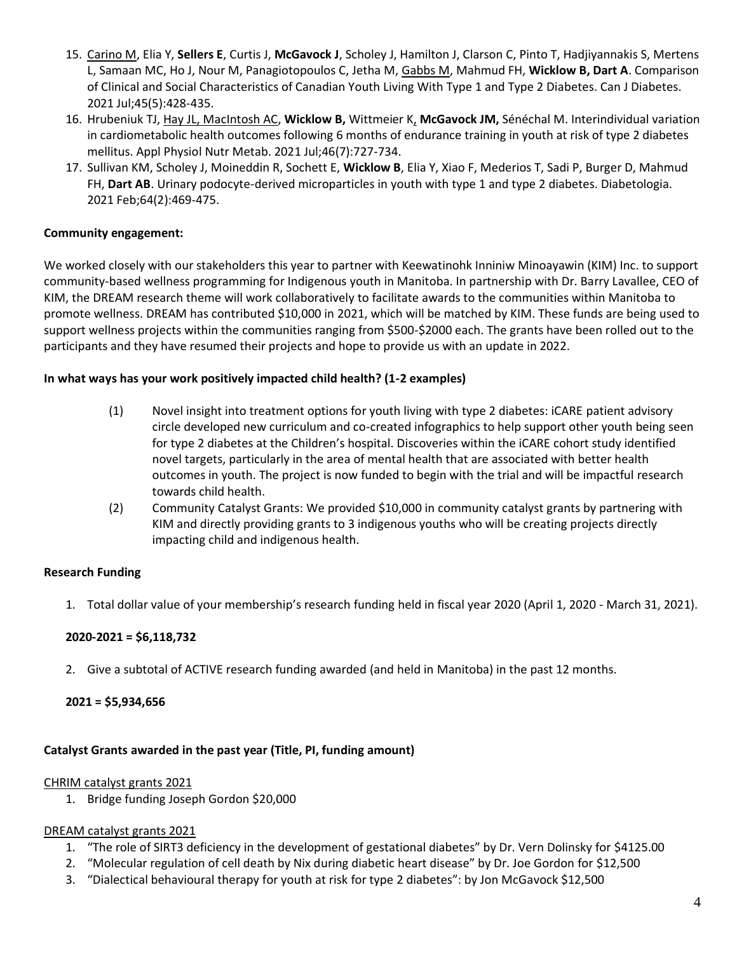- 15. Carino M, Elia Y, **Sellers E**, Curtis J, **McGavock J**, Scholey J, Hamilton J, Clarson C, Pinto T, Hadjiyannakis S, Mertens L, Samaan MC, Ho J, Nour M, Panagiotopoulos C, Jetha M, Gabbs M, Mahmud FH, **Wicklow B, Dart A**. Comparison of Clinical and Social Characteristics of Canadian Youth Living With Type 1 and Type 2 Diabetes. Can J Diabetes. 2021 Jul;45(5):428-435.
- 16. Hrubeniuk TJ, Hay JL, MacIntosh AC, **Wicklow B,** Wittmeier K, **McGavock JM,** Sénéchal M. Interindividual variation in cardiometabolic health outcomes following 6 months of endurance training in youth at risk of type 2 diabetes mellitus. Appl Physiol Nutr Metab. 2021 Jul;46(7):727-734.
- 17. Sullivan KM, Scholey J, Moineddin R, Sochett E, **Wicklow B**, Elia Y, Xiao F, Mederios T, Sadi P, Burger D, Mahmud FH, **Dart AB**. Urinary podocyte-derived microparticles in youth with type 1 and type 2 diabetes. Diabetologia. 2021 Feb;64(2):469-475.

### **Community engagement:**

We worked closely with our stakeholders this year to partner with Keewatinohk Inniniw Minoayawin (KIM) Inc. to support community-based wellness programming for Indigenous youth in Manitoba. In partnership with Dr. Barry Lavallee, CEO of KIM, the DREAM research theme will work collaboratively to facilitate awards to the communities within Manitoba to promote wellness. DREAM has contributed \$10,000 in 2021, which will be matched by KIM. These funds are being used to support wellness projects within the communities ranging from \$500-\$2000 each. The grants have been rolled out to the participants and they have resumed their projects and hope to provide us with an update in 2022.

### **In what ways has your work positively impacted child health? (1-2 examples)**

- (1) Novel insight into treatment options for youth living with type 2 diabetes: iCARE patient advisory circle developed new curriculum and co-created infographics to help support other youth being seen for type 2 diabetes at the Children's hospital. Discoveries within the iCARE cohort study identified novel targets, particularly in the area of mental health that are associated with better health outcomes in youth. The project is now funded to begin with the trial and will be impactful research towards child health.
- (2) Community Catalyst Grants: We provided \$10,000 in community catalyst grants by partnering with KIM and directly providing grants to 3 indigenous youths who will be creating projects directly impacting child and indigenous health.

### **Research Funding**

1. Total dollar value of your membership's research funding held in fiscal year 2020 (April 1, 2020 - March 31, 2021).

### **2020-2021 = \$6,118,732**

2. Give a subtotal of ACTIVE research funding awarded (and held in Manitoba) in the past 12 months.

### **2021 = \$5,934,656**

# **Catalyst Grants awarded in the past year (Title, PI, funding amount)**

# CHRIM catalyst grants 2021

1. Bridge funding Joseph Gordon \$20,000

# DREAM catalyst grants 2021

- 1. "The role of SIRT3 deficiency in the development of gestational diabetes" by Dr. Vern Dolinsky for \$4125.00
- 2. "Molecular regulation of cell death by Nix during diabetic heart disease" by Dr. Joe Gordon for \$12,500
- 3. "Dialectical behavioural therapy for youth at risk for type 2 diabetes": by Jon McGavock \$12,500